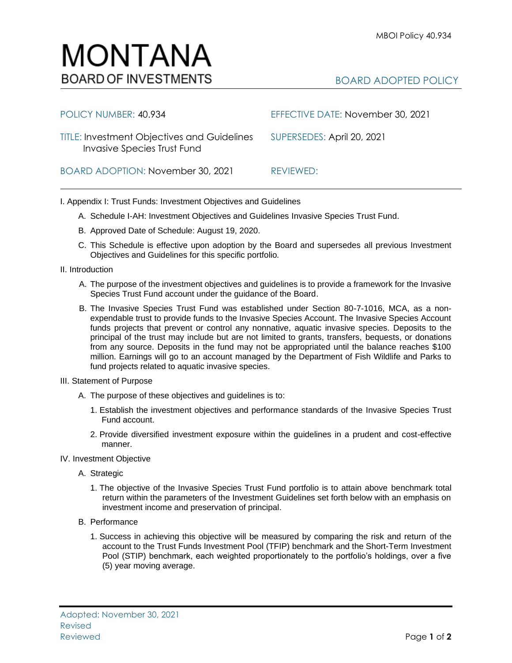## BOARD ADOPTED POLICY

| POLICY NUMBER: 40.934                                                                    | EFFECTIVE DATE: November 30, 2021 |
|------------------------------------------------------------------------------------------|-----------------------------------|
| <b>TITLE: Investment Objectives and Guidelines</b><br><b>Invasive Species Trust Fund</b> | SUPERSEDES: April 20, 2021        |
| BOARD ADOPTION: November 30, 2021                                                        | REVIEWED:                         |

I. Appendix I: Trust Funds: Investment Objectives and Guidelines

- A. Schedule I-AH: Investment Objectives and Guidelines Invasive Species Trust Fund.
- B. Approved Date of Schedule: August 19, 2020.
- C. This Schedule is effective upon adoption by the Board and supersedes all previous Investment Objectives and Guidelines for this specific portfolio*.*
- II. Introduction
	- A. The purpose of the investment objectives and guidelines is to provide a framework for the Invasive Species Trust Fund account under the guidance of the Board.
	- B. The Invasive Species Trust Fund was established under Section 80-7-1016, MCA, as a nonexpendable trust to provide funds to the Invasive Species Account. The Invasive Species Account funds projects that prevent or control any nonnative, aquatic invasive species. Deposits to the principal of the trust may include but are not limited to grants, transfers, bequests, or donations from any source. Deposits in the fund may not be appropriated until the balance reaches \$100 million. Earnings will go to an account managed by the Department of Fish Wildlife and Parks to fund projects related to aquatic invasive species.
- III. Statement of Purpose
	- A. The purpose of these objectives and guidelines is to:
		- 1. Establish the investment objectives and performance standards of the Invasive Species Trust Fund account.
		- 2. Provide diversified investment exposure within the guidelines in a prudent and cost-effective manner.
- IV. Investment Objective
	- A. Strategic
		- 1. The objective of the Invasive Species Trust Fund portfolio is to attain above benchmark total return within the parameters of the Investment Guidelines set forth below with an emphasis on investment income and preservation of principal.
	- B. Performance
		- 1. Success in achieving this objective will be measured by comparing the risk and return of the account to the Trust Funds Investment Pool (TFIP) benchmark and the Short-Term Investment Pool (STIP) benchmark, each weighted proportionately to the portfolio's holdings, over a five (5) year moving average.